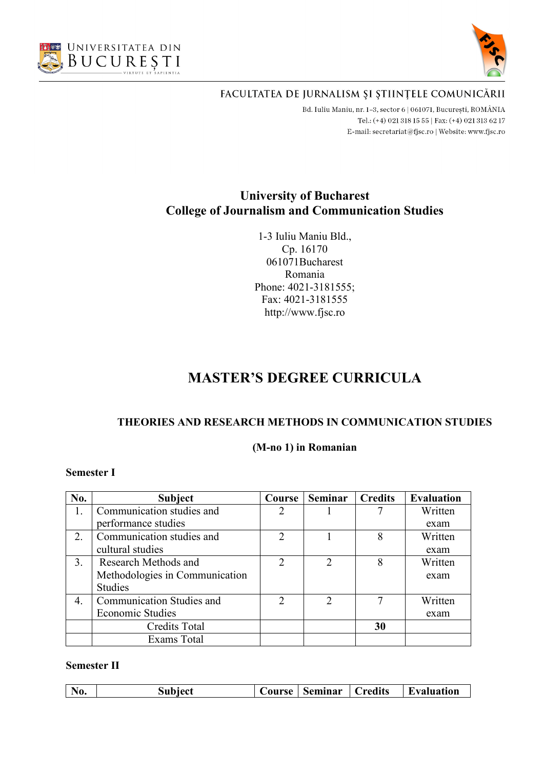



Bd. Iuliu Maniu, nr. 1-3, sector 6 | 061071, București, ROMÂNIA Tel.: (+4) 021 318 15 55 | Fax: (+4) 021 313 62 17 E-mail: secretariat@fjsc.ro | Website: www.fjsc.ro

# **University of Bucharest College of Journalism and Communication Studies**

1-3 Iuliu Maniu Bld., Cp. 16170 061071Bucharest Romania Phone: 4021-3181555; Fax: 4021-3181555 http://www.fjsc.ro

# **MASTER'S DEGREE CURRICULA**

## **THEORIES AND RESEARCH METHODS IN COMMUNICATION STUDIES**

#### **(M-no 1) in Romanian**

#### **Semester I**

| No. | <b>Subject</b>                   | Course         | <b>Seminar</b>              | <b>Credits</b> | <b>Evaluation</b> |
|-----|----------------------------------|----------------|-----------------------------|----------------|-------------------|
| 1.  | Communication studies and        |                |                             |                | Written           |
|     | performance studies              |                |                             |                | exam              |
| 2.  | Communication studies and        | 2              |                             | 8              | Written           |
|     | cultural studies                 |                |                             |                | exam              |
| 3.  | Research Methods and             | $\mathfrak{D}$ | 2                           | 8              | Written           |
|     | Methodologies in Communication   |                |                             |                | exam              |
|     | <b>Studies</b>                   |                |                             |                |                   |
| 4.  | <b>Communication Studies and</b> |                | $\mathcal{D}_{\mathcal{A}}$ |                | Written           |
|     | <b>Economic Studies</b>          |                |                             |                | exam              |
|     | <b>Credits Total</b>             |                |                             | 30             |                   |
|     | <b>Exams Total</b>               |                |                             |                |                   |

|  |  | No. | Subject | <b>Course</b> | Seminar | redits' | Evaluation |
|--|--|-----|---------|---------------|---------|---------|------------|
|--|--|-----|---------|---------------|---------|---------|------------|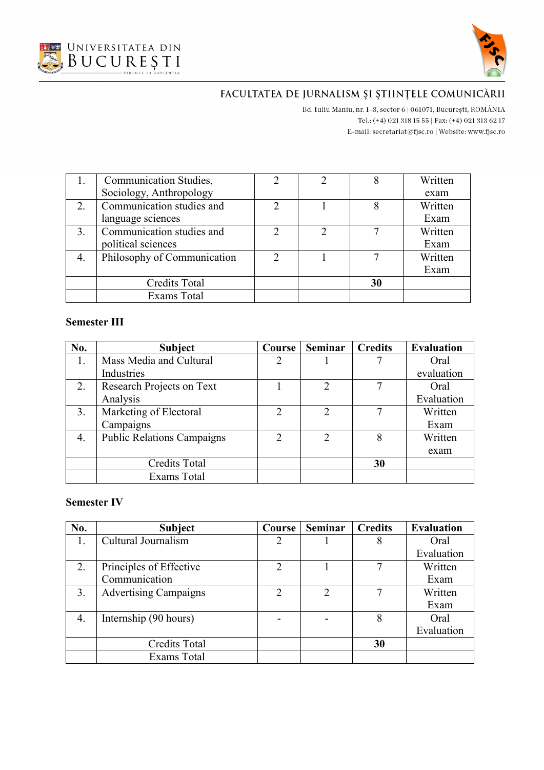



Bd. Iuliu Maniu, nr. 1-3, sector 6 | 061071, București, ROMÂNIA Tel.: (+4) 021 318 15 55 | Fax: (+4) 021 313 62 17 E-mail:  $\texttt{secretariat@f}$ isc.ro | Website: www.fjsc.ro

| <b>Communication Studies,</b> | $\mathcal{D}$ |    | Written |
|-------------------------------|---------------|----|---------|
| Sociology, Anthropology       |               |    | exam    |
| Communication studies and     | ∍             |    | Written |
| language sciences             |               |    | Exam    |
| Communication studies and     |               |    | Written |
| political sciences            |               |    | Exam    |
| Philosophy of Communication   | C             |    | Written |
|                               |               |    | Exam    |
| <b>Credits Total</b>          |               | 30 |         |
| Exams Total                   |               |    |         |

### **Semester III**

| No. | <b>Subject</b>                    | Course        | <b>Seminar</b> | <b>Credits</b> | <b>Evaluation</b> |
|-----|-----------------------------------|---------------|----------------|----------------|-------------------|
| 1.  | Mass Media and Cultural           |               |                |                | Oral              |
|     | Industries                        |               |                |                | evaluation        |
| 2.  | Research Projects on Text         |               | $\mathcal{P}$  |                | Oral              |
|     | Analysis                          |               |                |                | Evaluation        |
| 3.  | Marketing of Electoral            |               | $\mathcal{D}$  |                | Written           |
|     | Campaigns                         |               |                |                | Exam              |
| 4.  | <b>Public Relations Campaigns</b> | $\mathcal{D}$ | $\mathcal{D}$  | 8              | Written           |
|     |                                   |               |                |                | exam              |
|     | <b>Credits Total</b>              |               |                | 30             |                   |
|     | Exams Total                       |               |                |                |                   |

| No. | <b>Subject</b>               | Course                      | <b>Seminar</b> | <b>Credits</b> | <b>Evaluation</b> |
|-----|------------------------------|-----------------------------|----------------|----------------|-------------------|
|     | Cultural Journalism          | 2                           |                | 8              | Oral              |
|     |                              |                             |                |                | Evaluation        |
| 2.  | Principles of Effective      | $\mathcal{D}$               |                |                | Written           |
|     | Communication                |                             |                |                | Exam              |
| 3.  | <b>Advertising Campaigns</b> | $\mathcal{D}_{\mathcal{L}}$ | 2              |                | Written           |
|     |                              |                             |                |                | Exam              |
| 4.  | Internship (90 hours)        |                             |                | 8              | Oral              |
|     |                              |                             |                |                | Evaluation        |
|     | <b>Credits Total</b>         |                             |                | 30             |                   |
|     | Exams Total                  |                             |                |                |                   |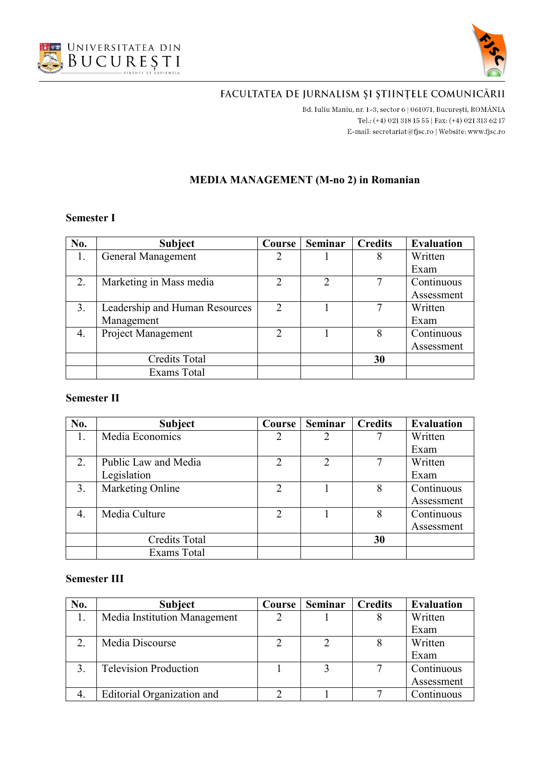



Bd. Iuliu Maniu, nr. 1-3, sector 6 | 061071, București, ROMÂNIA Tel.: (+4) 021 318 15 55 | Fax: (+4) 021 313 62 17 E-mail:  $\texttt{secretariat@f}$ isc.ro | Website: www.fjsc.ro

#### **MEDIA MANAGEMENT (M-no 2) in Romanian**

#### **Semester I**

| No. | <b>Subject</b>                 | Course         | <b>Seminar</b> | <b>Credits</b> | <b>Evaluation</b> |
|-----|--------------------------------|----------------|----------------|----------------|-------------------|
|     | General Management             |                |                | 8              | Written           |
|     |                                |                |                |                | Exam              |
| 2.  | Marketing in Mass media        |                | $\mathcal{D}$  |                | Continuous        |
|     |                                |                |                |                | Assessment        |
| 3.  | Leadership and Human Resources | $\mathcal{D}$  |                |                | Written           |
|     | Management                     |                |                |                | Exam              |
| 4.  | Project Management             | $\overline{2}$ |                | 8              | Continuous        |
|     |                                |                |                |                | Assessment        |
|     | <b>Credits Total</b>           |                |                | 30             |                   |
|     | Exams Total                    |                |                |                |                   |

## **Semester II**

| No.              | <b>Subject</b>       | Course                      | <b>Seminar</b> | <b>Credits</b> | <b>Evaluation</b> |
|------------------|----------------------|-----------------------------|----------------|----------------|-------------------|
| 1.               | Media Economics      | 2                           | 2              |                | Written           |
|                  |                      |                             |                |                | Exam              |
| 2.               | Public Law and Media | $\mathcal{D}_{\mathcal{L}}$ | $\mathfrak{D}$ |                | Written           |
|                  | Legislation          |                             |                |                | Exam              |
| $\overline{3}$ . | Marketing Online     | $\overline{2}$              |                | 8              | Continuous        |
|                  |                      |                             |                |                | Assessment        |
| 4.               | Media Culture        | 2                           |                | 8              | Continuous        |
|                  |                      |                             |                |                | Assessment        |
|                  | <b>Credits Total</b> |                             |                | 30             |                   |
|                  | Exams Total          |                             |                |                |                   |

#### **Semester III**

| No. | <b>Subject</b>               | Course | <b>Seminar</b> | <b>Credits</b> | <b>Evaluation</b> |
|-----|------------------------------|--------|----------------|----------------|-------------------|
|     | Media Institution Management |        |                |                | Written           |
|     |                              |        |                |                | Exam              |
| 2.  | Media Discourse              |        |                |                | Written           |
|     |                              |        |                |                | Exam              |
|     | <b>Television Production</b> |        |                |                | Continuous        |
|     |                              |        |                |                | Assessment        |
|     | Editorial Organization and   |        |                |                | Continuous        |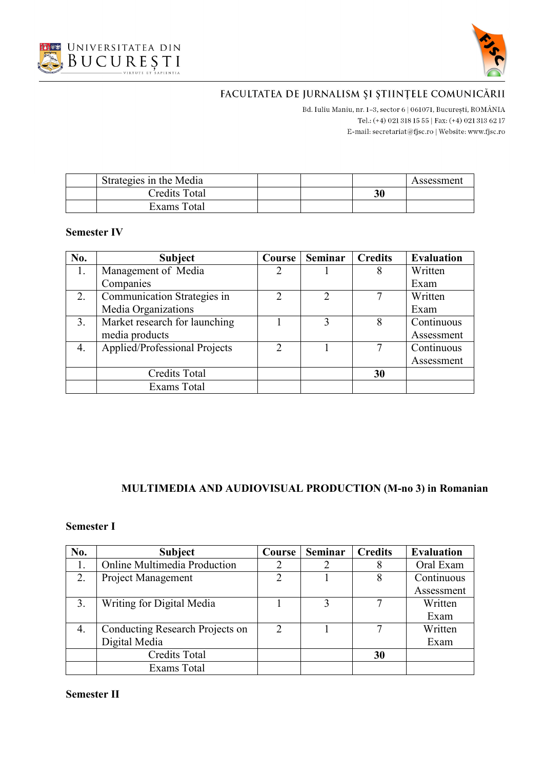



B<br/>d. Iuliu Maniu, nr. 1–3, sector 6 | 061071, București, ROMÂNIA Tel.: (+4) 021 318 15 55 | Fax: (+4) 021 313 62 17 E-mail:  $\texttt{secretariat@f}$ isc.ro | Website: www.fjsc.ro

| Strategies in the Media |  |    | Assessment |
|-------------------------|--|----|------------|
| Credits Total           |  | 30 |            |
| Exams Total             |  |    |            |

#### **Semester IV**

| No. | <b>Subject</b>                | Course        | <b>Seminar</b>              | <b>Credits</b> | <b>Evaluation</b> |
|-----|-------------------------------|---------------|-----------------------------|----------------|-------------------|
| 1.  | Management of Media           |               |                             | 8              | Written           |
|     | Companies                     |               |                             |                | Exam              |
| 2.  | Communication Strategies in   |               | $\mathcal{D}_{\mathcal{A}}$ |                | Written           |
|     | Media Organizations           |               |                             |                | Exam              |
| 3.  | Market research for launching |               | 3                           | 8              | Continuous        |
|     | media products                |               |                             |                | Assessment        |
| 4.  | Applied/Professional Projects | $\mathcal{D}$ |                             |                | Continuous        |
|     |                               |               |                             |                | Assessment        |
|     | <b>Credits Total</b>          |               |                             | 30             |                   |
|     | Exams Total                   |               |                             |                |                   |

## **MULTIMEDIA AND AUDIOVISUAL PRODUCTION (M-no 3) in Romanian**

## **Semester I**

| No. | <b>Subject</b>                  | Course         | <b>Seminar</b> | <b>Credits</b> | <b>Evaluation</b> |
|-----|---------------------------------|----------------|----------------|----------------|-------------------|
|     | Online Multimedia Production    |                |                |                | Oral Exam         |
| 2.  | Project Management              | $\mathfrak{D}$ |                | 8              | Continuous        |
|     |                                 |                |                |                | Assessment        |
| 3.  | Writing for Digital Media       |                | 3              |                | Written           |
|     |                                 |                |                |                | Exam              |
| 4.  | Conducting Research Projects on | $\mathcal{L}$  |                |                | Written           |
|     | Digital Media                   |                |                |                | Exam              |
|     | <b>Credits Total</b>            |                |                | 30             |                   |
|     | Exams Total                     |                |                |                |                   |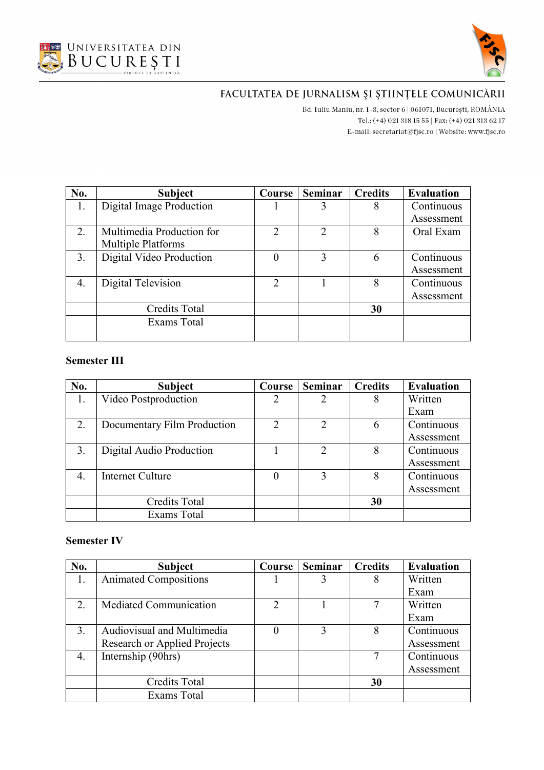



Bd. Iuliu Maniu, nr. 1-3, sector 6 | 061071, București, ROMÂNIA Tel.: (+4) 021 318 15 55 | Fax: (+4) 021 313 62 17 E-mail:  $\texttt{secretariat@f}$ isc.ro | Website: www.fjsc.ro

| No. | <b>Subject</b>            | Course        | <b>Seminar</b> | <b>Credits</b> | <b>Evaluation</b> |
|-----|---------------------------|---------------|----------------|----------------|-------------------|
| 1.  | Digital Image Production  |               |                | 8              | Continuous        |
|     |                           |               |                |                | Assessment        |
| 2.  | Multimedia Production for | $\mathcal{D}$ | $\mathcal{P}$  | 8              | Oral Exam         |
|     | Multiple Platforms        |               |                |                |                   |
| 3.  | Digital Video Production  | 0             | 3              |                | Continuous        |
|     |                           |               |                |                | Assessment        |
| 4.  | Digital Television        | $\mathcal{D}$ |                | 8              | Continuous        |
|     |                           |               |                |                | Assessment        |
|     | <b>Credits Total</b>      |               |                | 30             |                   |
|     | Exams Total               |               |                |                |                   |
|     |                           |               |                |                |                   |

#### **Semester III**

| No. | <b>Subject</b>              | Course | <b>Seminar</b>              | <b>Credits</b> | <b>Evaluation</b> |
|-----|-----------------------------|--------|-----------------------------|----------------|-------------------|
|     | Video Postproduction        |        | $\mathcal{D}_{\mathcal{L}}$ |                | Written           |
|     |                             |        |                             |                | Exam              |
| 2.  | Documentary Film Production | 2      | $\mathcal{D}_{\mathcal{L}}$ | 6              | Continuous        |
|     |                             |        |                             |                | Assessment        |
| 3.  | Digital Audio Production    |        | 2                           | 8              | Continuous        |
|     |                             |        |                             |                | Assessment        |
| 4.  | Internet Culture            |        | 3                           | 8              | Continuous        |
|     |                             |        |                             |                | Assessment        |
|     | <b>Credits Total</b>        |        |                             | 30             |                   |
|     | Exams Total                 |        |                             |                |                   |

| No. | <b>Subject</b>               | Course        | <b>Seminar</b> | <b>Credits</b> | <b>Evaluation</b> |
|-----|------------------------------|---------------|----------------|----------------|-------------------|
| 1.  | <b>Animated Compositions</b> |               |                |                | Written           |
|     |                              |               |                |                | Exam              |
| 2.  | Mediated Communication       | $\mathcal{D}$ |                |                | Written           |
|     |                              |               |                |                | Exam              |
| 3.  | Audiovisual and Multimedia   |               | 3              | 8              | Continuous        |
|     | Research or Applied Projects |               |                |                | Assessment        |
| 4.  | Internship (90hrs)           |               |                |                | Continuous        |
|     |                              |               |                |                | Assessment        |
|     | Credits Total                |               |                | 30             |                   |
|     | Exams Total                  |               |                |                |                   |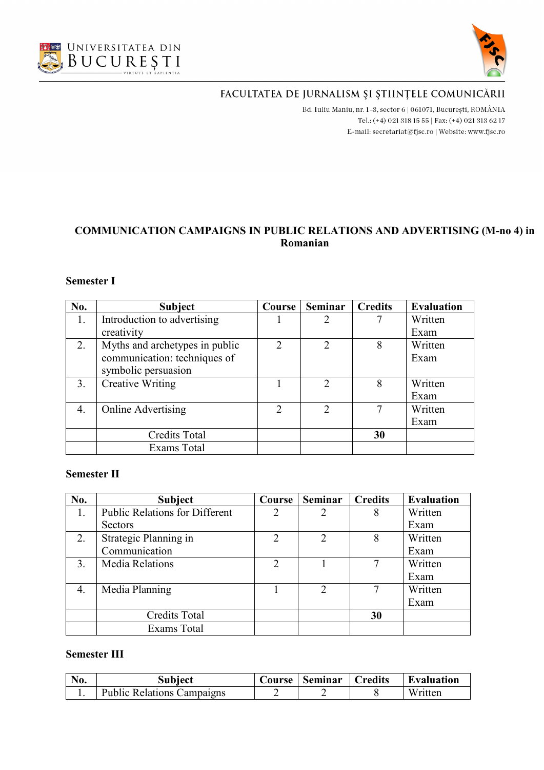



B<br/>d. Iuliu Maniu, nr. 1–3, sector 6 | 061071, București, ROMÂNIA Tel.: (+4) 021 318 15 55 | Fax: (+4) 021 313 62 17 E-mail: secretariat@fjsc.ro | Website: www.fjsc.ro

## **COMMUNICATION CAMPAIGNS IN PUBLIC RELATIONS AND ADVERTISING (M-no 4) in Romanian**

#### **Semester I**

| No. | <b>Subject</b>                 | Course        | <b>Seminar</b>              | <b>Credits</b> | <b>Evaluation</b> |
|-----|--------------------------------|---------------|-----------------------------|----------------|-------------------|
| 1.  | Introduction to advertising    |               | $\mathfrak{D}$              |                | Written           |
|     | creativity                     |               |                             |                | Exam              |
| 2.  | Myths and archetypes in public | $\mathcal{D}$ | 2                           | 8              | Written           |
|     | communication: techniques of   |               |                             |                | Exam              |
|     | symbolic persuasion            |               |                             |                |                   |
| 3.  | <b>Creative Writing</b>        |               | $\mathcal{D}$               | 8              | Written           |
|     |                                |               |                             |                | Exam              |
| 4.  | <b>Online Advertising</b>      | $\mathcal{L}$ | $\mathcal{D}_{\mathcal{L}}$ |                | Written           |
|     |                                |               |                             |                | Exam              |
|     | <b>Credits Total</b>           |               |                             | 30             |                   |
|     | Exams Total                    |               |                             |                |                   |

#### **Semester II**

| No. | <b>Subject</b>                        | Course        | <b>Seminar</b>        | <b>Credits</b> | <b>Evaluation</b> |
|-----|---------------------------------------|---------------|-----------------------|----------------|-------------------|
| 1.  | <b>Public Relations for Different</b> | 2             | $\mathcal{D}_{\cdot}$ | 8              | Written           |
|     | <b>Sectors</b>                        |               |                       |                | Exam              |
| 2.  | Strategic Planning in                 | 2             | 2                     | 8              | Written           |
|     | Communication                         |               |                       |                | Exam              |
| 3.  | <b>Media Relations</b>                | $\mathcal{P}$ |                       |                | Written           |
|     |                                       |               |                       |                | Exam              |
| 4.  | Media Planning                        |               | $\mathfrak{D}$        |                | Written           |
|     |                                       |               |                       |                | Exam              |
|     | <b>Credits Total</b>                  |               |                       | 30             |                   |
|     | Exams Total                           |               |                       |                |                   |

#### **Semester III**

| No. | Subject                           | Course | Seminar | Credits | <b>Evaluation</b> |
|-----|-----------------------------------|--------|---------|---------|-------------------|
|     | <b>Public Relations Campaigns</b> |        |         |         | Written           |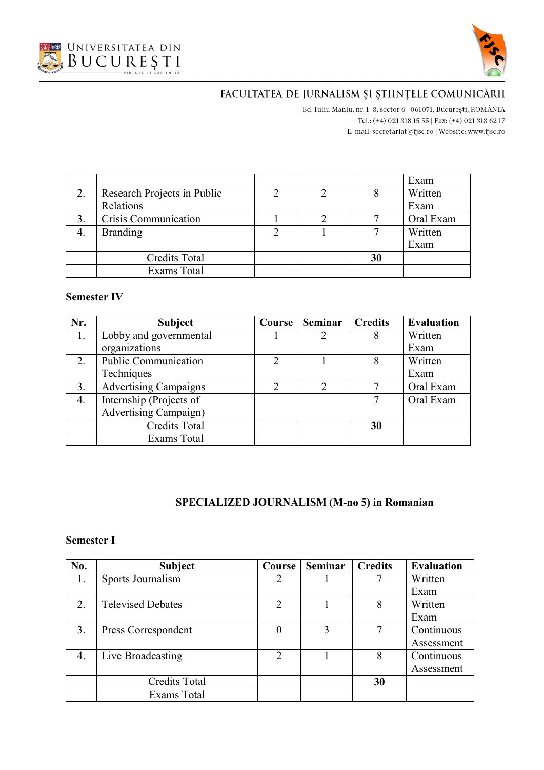



Bd. Iuliu Maniu, nr. 1-3, sector 6 | 061071, București, ROMÂNIA Tel.: (+4) 021 318 15 55 | Fax: (+4) 021 313 62 17 E-mail:  $\texttt{secretariat@f}$ isc.ro | Website: www.fjsc.ro

|                             |  |    | Exam      |
|-----------------------------|--|----|-----------|
| Research Projects in Public |  |    | Written   |
| Relations                   |  |    | Exam      |
| Crisis Communication        |  |    | Oral Exam |
| <b>Branding</b>             |  |    | Written   |
|                             |  |    | Exam      |
| <b>Credits Total</b>        |  | 30 |           |
| <b>Exams Total</b>          |  |    |           |

#### **Semester IV**

| Nr. | <b>Subject</b>               | Course                      | <b>Seminar</b>              | <b>Credits</b> | <b>Evaluation</b> |
|-----|------------------------------|-----------------------------|-----------------------------|----------------|-------------------|
| 1.  | Lobby and governmental       |                             |                             | 8              | Written           |
|     | organizations                |                             |                             |                | Exam              |
| 2.  | Public Communication         | $\mathcal{D}_{\mathcal{L}}$ |                             |                | Written           |
|     | Techniques                   |                             |                             |                | Exam              |
| 3.  | <b>Advertising Campaigns</b> |                             | $\mathcal{D}_{\mathcal{L}}$ |                | Oral Exam         |
| 4.  | Internship (Projects of      |                             |                             |                | Oral Exam         |
|     | <b>Advertising Campaign)</b> |                             |                             |                |                   |
|     | <b>Credits Total</b>         |                             |                             | 30             |                   |
|     | Exams Total                  |                             |                             |                |                   |

## **SPECIALIZED JOURNALISM (M-no 5) in Romanian**

| No.              | <b>Subject</b>           | Course                      | <b>Seminar</b> | <b>Credits</b> | <b>Evaluation</b> |
|------------------|--------------------------|-----------------------------|----------------|----------------|-------------------|
| 1.               | Sports Journalism        | 2                           |                |                | Written           |
|                  |                          |                             |                |                | Exam              |
| 2.               | <b>Televised Debates</b> | C                           |                | 8              | Written           |
|                  |                          |                             |                |                | Exam              |
| $\mathfrak{Z}$ . | Press Correspondent      | $\theta$                    | 3              |                | Continuous        |
|                  |                          |                             |                |                | Assessment        |
| 4.               | Live Broadcasting        | $\mathcal{D}_{\mathcal{L}}$ |                | 8              | Continuous        |
|                  |                          |                             |                |                | Assessment        |
|                  | <b>Credits Total</b>     |                             |                | 30             |                   |
|                  | Exams Total              |                             |                |                |                   |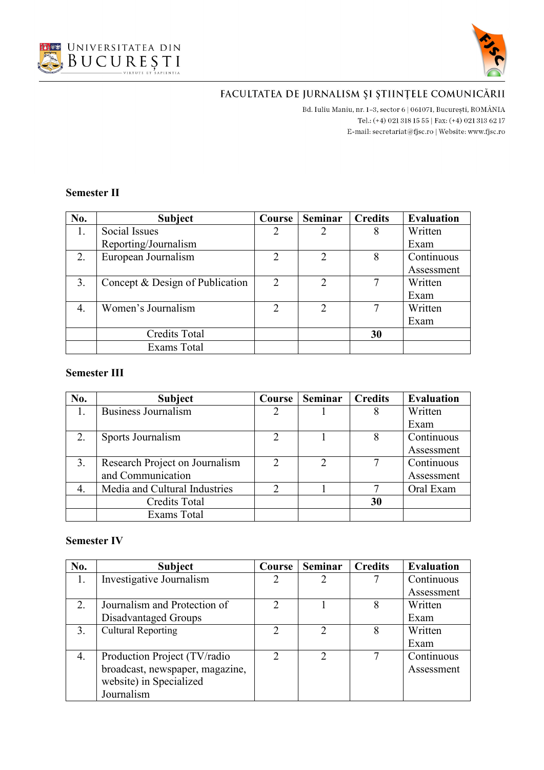



Bd. Iuliu Maniu, nr. 1-3, sector 6 | 061071, București, ROMÂNIA Tel.: (+4) 021 318 15 55 | Fax: (+4) 021 313 62 17 E-mail:  $\texttt{secretariat@f}$ isc.ro | Website: www.fjsc.ro

#### **Semester II**

| No. | <b>Subject</b>                  | Course         | Seminar        | <b>Credits</b> | <b>Evaluation</b> |
|-----|---------------------------------|----------------|----------------|----------------|-------------------|
| 1.  | Social Issues                   | $\overline{2}$ |                | 8              | Written           |
|     | Reporting/Journalism            |                |                |                | Exam              |
| 2.  | European Journalism             | $\overline{2}$ | 2              | 8              | Continuous        |
|     |                                 |                |                |                | Assessment        |
| 3.  | Concept & Design of Publication | 2              | $\overline{2}$ |                | Written           |
|     |                                 |                |                |                | Exam              |
| 4.  | Women's Journalism              | $\overline{2}$ | $\overline{2}$ |                | Written           |
|     |                                 |                |                |                | Exam              |
|     | <b>Credits Total</b>            |                |                | 30             |                   |
|     | Exams Total                     |                |                |                |                   |

## **Semester III**

| No. | <b>Subject</b>                 | Course        | Seminar       | <b>Credits</b> | <b>Evaluation</b> |
|-----|--------------------------------|---------------|---------------|----------------|-------------------|
|     | <b>Business Journalism</b>     |               |               |                | Written           |
|     |                                |               |               |                | Exam              |
|     | Sports Journalism              | $\mathcal{D}$ |               |                | Continuous        |
|     |                                |               |               |                | Assessment        |
| 3.  | Research Project on Journalism |               | $\mathcal{D}$ |                | Continuous        |
|     | and Communication              |               |               |                | Assessment        |
| 4.  | Media and Cultural Industries  |               |               |                | Oral Exam         |
|     | <b>Credits Total</b>           |               |               | 30             |                   |
|     | Exams Total                    |               |               |                |                   |

| No. | <b>Subject</b>                  | Course        | <b>Seminar</b>              | <b>Credits</b> | <b>Evaluation</b> |
|-----|---------------------------------|---------------|-----------------------------|----------------|-------------------|
| 1.  | Investigative Journalism        |               | 2                           |                | Continuous        |
|     |                                 |               |                             |                | Assessment        |
| 2.  | Journalism and Protection of    | 2             |                             | 8              | Written           |
|     | Disadvantaged Groups            |               |                             |                | Exam              |
| 3.  | <b>Cultural Reporting</b>       | $\mathcal{D}$ | $\mathcal{D}_{\mathcal{A}}$ | 8              | Written           |
|     |                                 |               |                             |                | Exam              |
| 4.  | Production Project (TV/radio    | $\mathcal{D}$ | $\mathcal{D}$               |                | Continuous        |
|     | broadcast, newspaper, magazine, |               |                             |                | Assessment        |
|     | website) in Specialized         |               |                             |                |                   |
|     | Journalism                      |               |                             |                |                   |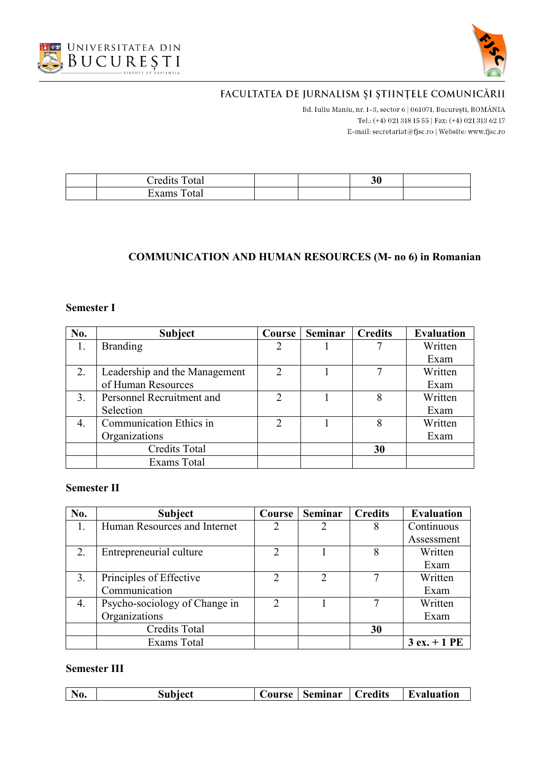



Bd. Iuliu Maniu, nr. 1-3, sector 6 | 061071, București, ROMÂNIA Tel.: (+4) 021 318 15 55 | Fax: (+4) 021 313 62 17 E-mail:  $\texttt{secretariat@f}$ isc.ro | Website: www.fjsc.ro

| $\rightarrow$<br>Ð<br>$\cap$ redits $\Box$<br>`otal |  | ኅ ሰ<br>ЭU |  |
|-----------------------------------------------------|--|-----------|--|
| Exams<br>otal                                       |  |           |  |

## **COMMUNICATION AND HUMAN RESOURCES (M- no 6) in Romanian**

#### **Semester I**

| No. | <b>Subject</b>                | Course        | <b>Seminar</b> | <b>Credits</b> | <b>Evaluation</b> |
|-----|-------------------------------|---------------|----------------|----------------|-------------------|
|     | <b>Branding</b>               |               |                |                | Written           |
|     |                               |               |                |                | Exam              |
| 2.  | Leadership and the Management |               |                |                | Written           |
|     | of Human Resources            |               |                |                | Exam              |
| 3.  | Personnel Recruitment and     |               |                |                | Written           |
|     | Selection                     |               |                |                | Exam              |
| 4.  | Communication Ethics in       | $\mathcal{D}$ |                | 8              | Written           |
|     | Organizations                 |               |                |                | Exam              |
|     | <b>Credits Total</b>          |               |                | 30             |                   |
|     | Exams Total                   |               |                |                |                   |

## **Semester II**

| No. | <b>Subject</b>                | Course        | <b>Seminar</b> | <b>Credits</b> | <b>Evaluation</b> |
|-----|-------------------------------|---------------|----------------|----------------|-------------------|
|     | Human Resources and Internet  |               | 2              |                | Continuous        |
|     |                               |               |                |                | Assessment        |
| 2.  | Entrepreneurial culture       |               |                | 8              | Written           |
|     |                               |               |                |                | Exam              |
| 3.  | Principles of Effective       |               | $\mathcal{L}$  |                | Written           |
|     | Communication                 |               |                |                | Exam              |
| 4.  | Psycho-sociology of Change in | $\mathcal{P}$ |                |                | Written           |
|     | Organizations                 |               |                |                | Exam              |
|     | <b>Credits Total</b>          |               |                | 30             |                   |
|     | <b>Exams Total</b>            |               |                |                | $3 ex. + 1 PE$    |

#### **Semester III**

| $N_0$<br><b>Predits</b><br>subject<br>H)<br><b>bvaluation</b><br>Seminar<br>ourse . |
|-------------------------------------------------------------------------------------|
|-------------------------------------------------------------------------------------|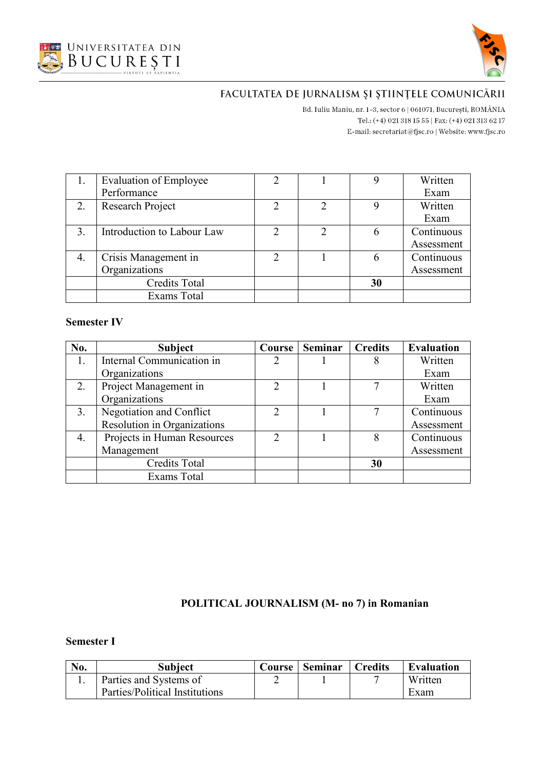



Bd. Iuliu Maniu, nr. 1-3, sector 6 | 061071, București, ROMÂNIA Tel.: (+4) 021 318 15 55 | Fax: (+4) 021 313 62 17 E-mail:  $\texttt{secretariat@f}$ isc.ro | Website: www.fjsc.ro

|                | Evaluation of Employee     | $\overline{2}$ |   |    | Written    |
|----------------|----------------------------|----------------|---|----|------------|
|                | Performance                |                |   |    | Exam       |
|                | Research Project           |                |   |    | Written    |
|                |                            |                |   |    | Exam       |
| $\mathfrak{Z}$ | Introduction to Labour Law | っ              | C | 6  | Continuous |
|                |                            |                |   |    | Assessment |
|                | Crisis Management in       | $\mathcal{D}$  |   |    | Continuous |
|                | Organizations              |                |   |    | Assessment |
|                | <b>Credits Total</b>       |                |   | 30 |            |
|                | <b>Exams Total</b>         |                |   |    |            |

#### **Semester IV**

| No. | <b>Subject</b>              | Course        | Seminar | <b>Credits</b> | <b>Evaluation</b> |
|-----|-----------------------------|---------------|---------|----------------|-------------------|
| 1.  | Internal Communication in   |               |         |                | Written           |
|     | Organizations               |               |         |                | Exam              |
| 2.  | Project Management in       | $\mathcal{D}$ |         |                | Written           |
|     | Organizations               |               |         |                | Exam              |
| 3.  | Negotiation and Conflict    |               |         |                | Continuous        |
|     | Resolution in Organizations |               |         |                | Assessment        |
| 4.  | Projects in Human Resources | $\mathcal{D}$ |         |                | Continuous        |
|     | Management                  |               |         |                | Assessment        |
|     | <b>Credits Total</b>        |               |         | 30             |                   |
|     | <b>Exams Total</b>          |               |         |                |                   |

## **POLITICAL JOURNALISM (M- no 7) in Romanian**

| No. | Subject                        | Course | <b>Seminar</b> | Credits | <b>Evaluation</b> |
|-----|--------------------------------|--------|----------------|---------|-------------------|
|     | Parties and Systems of         |        |                |         | Written           |
|     | Parties/Political Institutions |        |                |         | Exam              |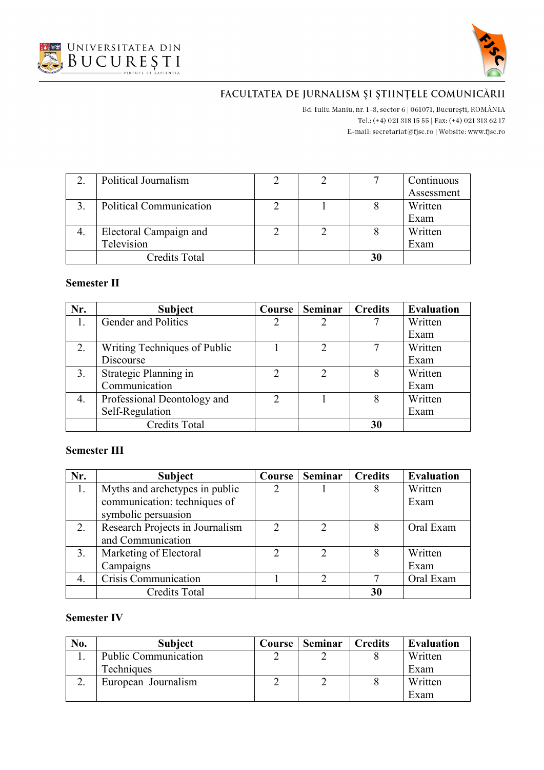



Bd. Iuliu Maniu, nr. 1-3, sector 6 | 061071, București, ROMÂNIA Tel.: (+4) 021 318 15 55 | Fax: (+4) 021 313 62 17 E-mail:  $\texttt{secretariat@f}$ isc.ro | Website: www.fjsc.ro

| Political Journalism    |  | Continuous |
|-------------------------|--|------------|
|                         |  | Assessment |
| Political Communication |  | Written    |
|                         |  | Exam       |
| Electoral Campaign and  |  | Written    |
| Television              |  | Exam       |
| <b>Credits Total</b>    |  |            |

#### **Semester II**

| Nr. | <b>Subject</b>               | Course        | Seminar        | <b>Credits</b> | <b>Evaluation</b> |
|-----|------------------------------|---------------|----------------|----------------|-------------------|
|     | Gender and Politics          |               |                |                | Written           |
|     |                              |               |                |                | Exam              |
| 2.  | Writing Techniques of Public |               | $\mathcal{D}$  |                | Written           |
|     | Discourse                    |               |                |                | Exam              |
| 3.  | Strategic Planning in        | $\mathcal{D}$ | $\overline{2}$ |                | Written           |
|     | Communication                |               |                |                | Exam              |
| 4.  | Professional Deontology and  | C             |                | 8              | Written           |
|     | Self-Regulation              |               |                |                | Exam              |
|     | <b>Credits Total</b>         |               |                | 30             |                   |

#### **Semester III**

| Nr. | <b>Subject</b>                  | Course | Seminar                     | <b>Credits</b> | <b>Evaluation</b> |
|-----|---------------------------------|--------|-----------------------------|----------------|-------------------|
| 1.  | Myths and archetypes in public  |        |                             |                | Written           |
|     | communication: techniques of    |        |                             |                | Exam              |
|     | symbolic persuasion             |        |                             |                |                   |
| 2.  | Research Projects in Journalism | ↑      |                             |                | Oral Exam         |
|     | and Communication               |        |                             |                |                   |
| 3.  | Marketing of Electoral          | C      | $\mathcal{D}_{\mathcal{L}}$ |                | Written           |
|     | Campaigns                       |        |                             |                | Exam              |
| 4.  | Crisis Communication            |        |                             |                | Oral Exam         |
|     | <b>Credits Total</b>            |        |                             | 30             |                   |

| No. | <b>Subject</b>              | <b>Course</b> | <b>Seminar</b> | <b>Credits</b> | <b>Evaluation</b> |
|-----|-----------------------------|---------------|----------------|----------------|-------------------|
|     | <b>Public Communication</b> |               |                |                | Written           |
|     | Techniques                  |               |                |                | Exam              |
|     | European Journalism         |               |                |                | Written           |
|     |                             |               |                |                | Exam              |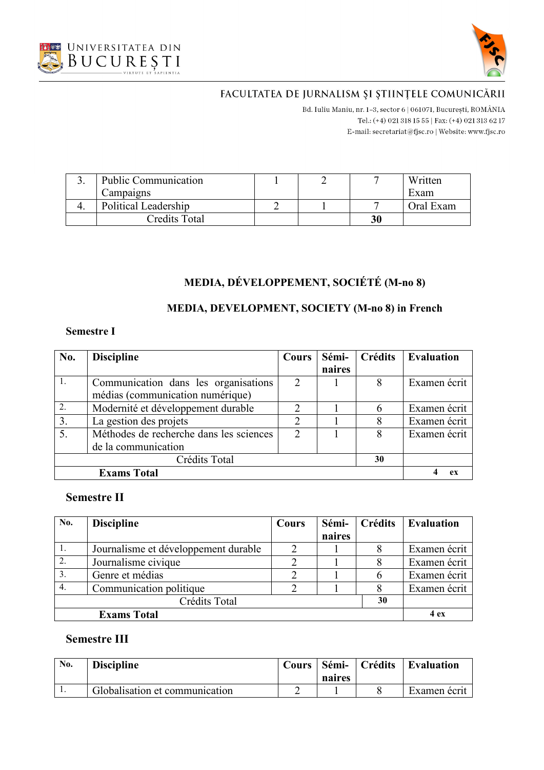



Bd. Iuliu Maniu, nr. 1-3, sector 6 | 061071, București, ROMÂNIA Tel.: (+4) 021 318 15 55 | Fax: (+4) 021 313 62 17 E-mail: secretariat@fjsc.ro | Website: www.fjsc.ro

| <b>Public Communication</b> |  |    | Written   |
|-----------------------------|--|----|-----------|
| Campaigns                   |  |    | Exam      |
| Political Leadership        |  |    | Oral Exam |
| Credits Total               |  | 30 |           |

# **MEDIA, DÉVELOPPEMENT, SOCIÉTÉ (M-no 8)**

## **MEDIA, DEVELOPMENT, SOCIETY (M-no 8) in French**

#### **Semestre I**

| No.                 | <b>Discipline</b>                       | Cours                    | Sémi-  | <b>Crédits</b> | <b>Evaluation</b> |
|---------------------|-----------------------------------------|--------------------------|--------|----------------|-------------------|
|                     |                                         |                          | naires |                |                   |
| 1.                  | Communication dans les organisations    | $\mathfrak{D}_{1}^{(1)}$ |        | 8              | Examen écrit      |
|                     | médias (communication numérique)        |                          |        |                |                   |
| 2.                  | Modernité et développement durable      |                          |        | 6              | Examen écrit      |
| 3.                  | La gestion des projets                  | ◠                        |        | 8              | Examen écrit      |
| 5.                  | Méthodes de recherche dans les sciences | 2                        |        | 8              | Examen écrit      |
|                     | de la communication                     |                          |        |                |                   |
| Crédits Total<br>30 |                                         |                          |        |                |                   |
|                     | <b>Exams Total</b>                      |                          |        |                | eх                |

## **Semestre II**

| No.       | <b>Discipline</b>                    | Cours | Sémi-  | Crédits | <b>Evaluation</b> |  |
|-----------|--------------------------------------|-------|--------|---------|-------------------|--|
|           |                                      |       | naires |         |                   |  |
| $\perp$ . | Journalisme et développement durable |       |        |         | Examen écrit      |  |
| 2.        | Journalisme civique                  |       |        |         | Examen écrit      |  |
| 3.        | Genre et médias                      |       |        | h       | Examen écrit      |  |
| 4.        | Communication politique              |       |        |         | Examen écrit      |  |
|           |                                      |       |        |         |                   |  |
|           | <b>Exams Total</b>                   |       |        |         |                   |  |

## **Semestre III**

| No.     | <b>Discipline</b>              | <b>Cours</b> | <sup>1</sup> Sémi-<br>naires | Crédits | <b>Evaluation</b> |
|---------|--------------------------------|--------------|------------------------------|---------|-------------------|
| $\cdot$ | Globalisation et communication |              |                              |         | Examen ecrit      |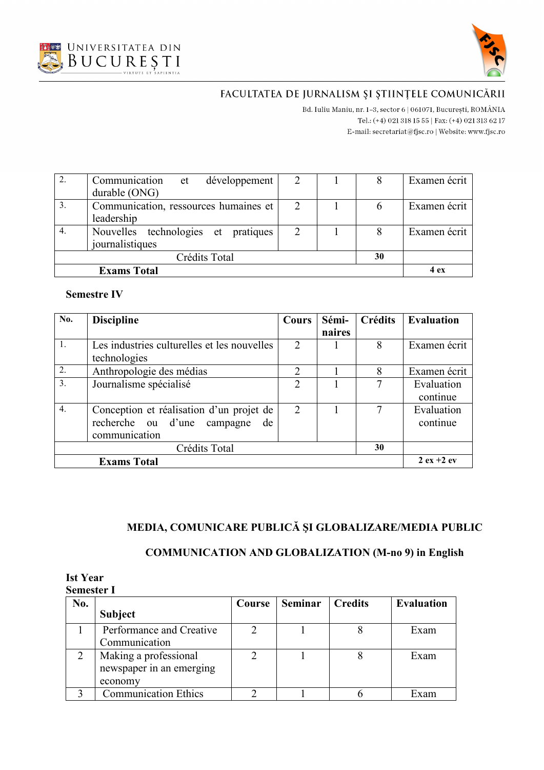



B<br/>d. Iuliu Maniu, nr. 1–3, sector 6 | 061071, București, ROMÂNIA Tel.: (+4) 021 318 15 55 | Fax: (+4) 021 313 62 17 E-mail: secretariat@fjsc.ro | Website: www.fjsc.ro

|    | Communication et développement        |                             |  | Examen écrit |
|----|---------------------------------------|-----------------------------|--|--------------|
|    | durable (ONG)                         |                             |  |              |
| 3. | Communication, ressources humaines et |                             |  | Examen écrit |
|    | leadership                            |                             |  |              |
|    | Nouvelles technologies et pratiques   | $\mathcal{D}_{\mathcal{L}}$ |  | Examen écrit |
|    | journalistiques                       |                             |  |              |
|    |                                       |                             |  |              |
|    | 4 ex                                  |                             |  |              |

#### **Semestre IV**

| No.                            | <b>Discipline</b>                           | <b>Cours</b>   | Sémi-  | <b>Crédits</b> | <b>Evaluation</b> |
|--------------------------------|---------------------------------------------|----------------|--------|----------------|-------------------|
|                                |                                             |                | naires |                |                   |
| 1.                             | Les industries culturelles et les nouvelles | $\overline{2}$ |        | 8              | Examen écrit      |
|                                | technologies                                |                |        |                |                   |
| 2.<br>Anthropologie des médias |                                             | $\overline{2}$ |        | 8              | Examen écrit      |
| $\overline{3}$ .               | Journalisme spécialisé                      | $\mathcal{D}$  |        |                | Evaluation        |
|                                |                                             |                |        |                | continue          |
| $\overline{4}$ .               | Conception et réalisation d'un projet de    | 2              |        | 7              | Evaluation        |
|                                | recherche ou d'une campagne<br>de           |                |        |                | continue          |
|                                | communication                               |                |        |                |                   |
|                                | Crédits Total                               |                |        | 30             |                   |
|                                | <b>Exams Total</b>                          |                |        |                | $2 ex + 2 ev$     |

# **MEDIA, COMUNICARE PUBLICĂ ŞI GLOBALIZARE/MEDIA PUBLIC**

## **COMMUNICATION AND GLOBALIZATION (M-no 9) in English**

| <b>Ist Year</b>   |  |
|-------------------|--|
| <b>Semester I</b> |  |

| No. |                             | Course | <b>Seminar</b> | <b>Credits</b> | <b>Evaluation</b> |
|-----|-----------------------------|--------|----------------|----------------|-------------------|
|     | <b>Subject</b>              |        |                |                |                   |
|     | Performance and Creative    |        |                |                | Exam              |
|     | Communication               |        |                |                |                   |
|     | Making a professional       |        |                |                | Exam              |
|     | newspaper in an emerging    |        |                |                |                   |
|     | economy                     |        |                |                |                   |
|     | <b>Communication Ethics</b> |        |                |                | Exam              |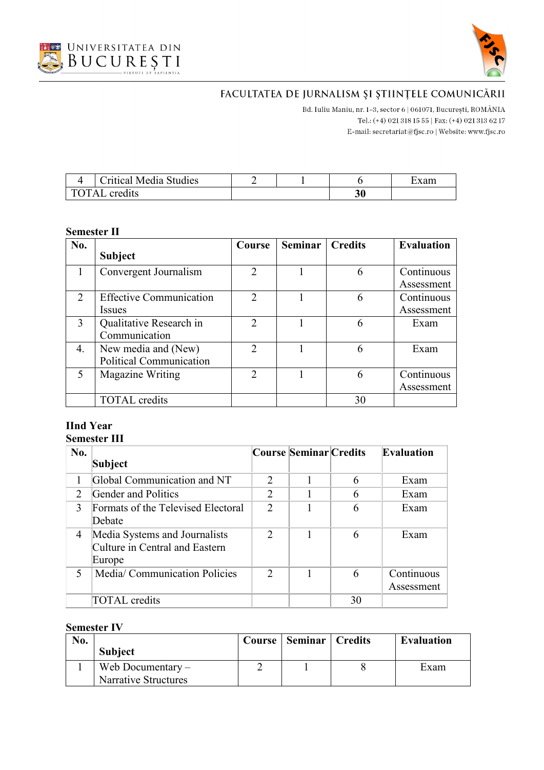



Bd. Iuliu Maniu, nr. 1-3, sector 6 | 061071, București, ROMÂNIA Tel.: (+4) 021 318 15 55 | Fax: (+4) 021 313 62 17 E-mail:  $\texttt{secretariat@f}$ isc.ro | Website: www.fjsc.ro

|                                  | Critical Media Studies |  |    | xam |
|----------------------------------|------------------------|--|----|-----|
| $\Delta$<br>cred <sub>1</sub> ts |                        |  | 30 |     |

#### **Semester II**

| No. |                                | Course                      | <b>Seminar</b> | <b>Credits</b> | <b>Evaluation</b> |
|-----|--------------------------------|-----------------------------|----------------|----------------|-------------------|
|     | <b>Subject</b>                 |                             |                |                |                   |
|     | Convergent Journalism          | $\mathcal{D}$               |                | 6              | Continuous        |
|     |                                |                             |                |                | Assessment        |
| 2   | <b>Effective Communication</b> | $\mathcal{D}_{\mathcal{L}}$ |                | 6              | Continuous        |
|     | <i>Issues</i>                  |                             |                |                | Assessment        |
| 3   | Qualitative Research in        | $\mathcal{D}_{\mathcal{L}}$ |                | 6              | Exam              |
|     | Communication                  |                             |                |                |                   |
| 4.  | New media and (New)            | $\mathcal{D}_{\mathcal{L}}$ |                | 6              | Exam              |
|     | <b>Political Communication</b> |                             |                |                |                   |
| 5   | Magazine Writing               | $\mathcal{D}$               |                | 6              | Continuous        |
|     |                                |                             |                |                | Assessment        |
|     | <b>TOTAL</b> credits           |                             |                | 30             |                   |

# **IInd Year**

## **Semester III**

| No.                      |                                    |                | Course Seminar Credits |    | <b>Evaluation</b> |
|--------------------------|------------------------------------|----------------|------------------------|----|-------------------|
|                          | Subject                            |                |                        |    |                   |
|                          | Global Communication and NT        | $\mathfrak{D}$ |                        | 6  | Exam              |
| 2                        | Gender and Politics                | 2              |                        | 6  | Exam              |
| 3                        | Formats of the Televised Electoral | $\overline{2}$ |                        | 6  | Exam              |
|                          | Debate                             |                |                        |    |                   |
| 4                        | Media Systems and Journalists      | $\mathcal{D}$  |                        | 6  | Exam              |
|                          | Culture in Central and Eastern     |                |                        |    |                   |
|                          | Europe                             |                |                        |    |                   |
| $\overline{\mathcal{L}}$ | Media/Communication Policies       | $\mathcal{D}$  |                        | 6  | Continuous        |
|                          |                                    |                |                        |    | Assessment        |
|                          | <b>TOTAL</b> credits               |                |                        | 30 |                   |

| No. |                      | Course | <b>Seminar   Credits</b> | Evaluation |
|-----|----------------------|--------|--------------------------|------------|
|     | <b>Subject</b>       |        |                          |            |
|     | Web Documentary $-$  |        |                          | Exam       |
|     | Narrative Structures |        |                          |            |